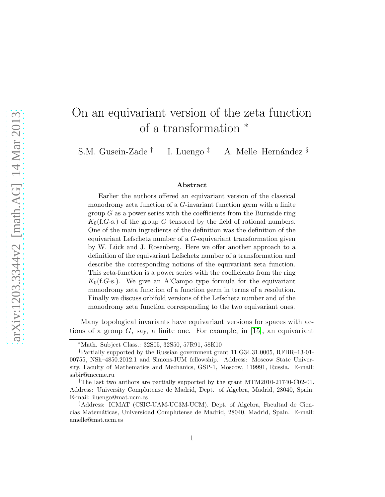# On an equivariant version of the zeta function of a transformation <sup>∗</sup>

S.M. Gusein-Zade † I. Luengo  $\frac{4}{7}$  A. Melle–Hernández §

#### Abstract

Earlier the authors offered an equivariant version of the classical monodromy zeta function of a G-invariant function germ with a finite group  $G$  as a power series with the coefficients from the Burnside ring  $K_0$ (f.G-s.) of the group G tensored by the field of rational numbers. One of the main ingredients of the definition was the definition of the equivariant Lefschetz number of a G-equivariant transformation given by W. Lück and J. Rosenberg. Here we offer another approach to a definition of the equivariant Lefschetz number of a transformation and describe the corresponding notions of the equivariant zeta function. This zeta-function is a power series with the coefficients from the ring  $K_0$ (f.G-s.). We give an A'Campo type formula for the equivariant monodromy zeta function of a function germ in terms of a resolution. Finally we discuss orbifold versions of the Lefschetz number and of the monodromy zeta function corresponding to the two equivariant ones.

Many topological invariants have equivariant versions for spaces with actions of a group  $G$ , say, a finite one. For example, in [\[15\]](#page-14-0), an equivariant

<sup>∗</sup>Math. Subject Class.: 32S05, 32S50, 57R91, 58K10

<sup>†</sup>Partially supported by the Russian government grant 11.G34.31.0005, RFBR–13-01- 00755, NSh–4850.2012.1 and Simons-IUM fellowship. Address: Moscow State University, Faculty of Mathematics and Mechanics, GSP-1, Moscow, 119991, Russia. E-mail: sabir@mccme.ru

<sup>‡</sup>The last two authors are partially supported by the grant MTM2010-21740-C02-01. Address: University Complutense de Madrid, Dept. of Algebra, Madrid, 28040, Spain. E-mail: iluengo@mat.ucm.es

<sup>§</sup>Address: ICMAT (CSIC-UAM-UC3M-UCM). Dept. of Algebra, Facultad de Ciencias Matem´aticas, Universidad Complutense de Madrid, 28040, Madrid, Spain. E-mail: amelle@mat.ucm.es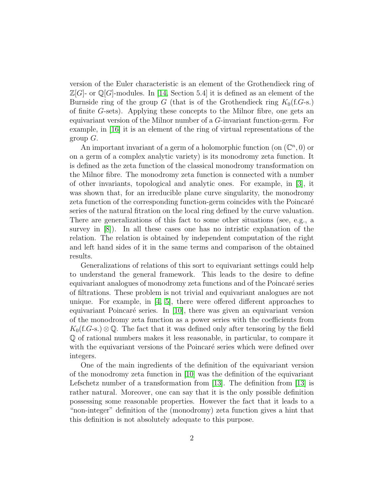version of the Euler characteristic is an element of the Grothendieck ring of  $\mathbb{Z}[G]$ - or  $\mathbb{Q}[G]$ -modules. In [\[14,](#page-14-1) Section 5.4] it is defined as an element of the Burnside ring of the group G (that is of the Grothendieck ring  $K_0(f,G-s.)$ of finite G-sets). Applying these concepts to the Milnor fibre, one gets an equivariant version of the Milnor number of a G-invariant function-germ. For example, in [\[16\]](#page-14-2) it is an element of the ring of virtual representations of the group  $G$ .

An important invariant of a germ of a holomorphic function (on  $(\mathbb{C}^n,0)$  or on a germ of a complex analytic variety) is its monodromy zeta function. It is defined as the zeta function of the classical monodromy transformation on the Milnor fibre. The monodromy zeta function is connected with a number of other invariants, topological and analytic ones. For example, in [\[3\]](#page-13-0), it was shown that, for an irreducible plane curve singularity, the monodromy zeta function of the corresponding function-germ coincides with the Poincaré series of the natural fitration on the local ring defined by the curve valuation. There are generalizations of this fact to some other situations (see, e.g., a survey in [\[8\]](#page-14-3)). In all these cases one has no intristic explanation of the relation. The relation is obtained by independent computation of the right and left hand sides of it in the same terms and comparison of the obtained results.

Generalizations of relations of this sort to equivariant settings could help to understand the general framework. This leads to the desire to define equivariant analogues of monodromy zeta functions and of the Poincaré series of filtrations. These problem is not trivial and equivariant analogues are not unique. For example, in  $[4, 5]$  $[4, 5]$ , there were offered different approaches to equivariant Poincaré series. In  $[10]$ , there was given an equivariant version of the monodromy zeta function as a power series with the coefficients from  $K_0(\text{f.G-s.})\otimes\mathbb{Q}$ . The fact that it was defined only after tensoring by the field Q of rational numbers makes it less reasonable, in particular, to compare it with the equivariant versions of the Poincaré series which were defined over integers.

One of the main ingredients of the definition of the equivariant version of the monodromy zeta function in [\[10\]](#page-14-5) was the definition of the equivariant Lefschetz number of a transformation from [\[13\]](#page-14-6). The definition from [\[13\]](#page-14-6) is rather natural. Moreover, one can say that it is the only possible definition possessing some reasonable properties. However the fact that it leads to a "non-integer" definition of the (monodromy) zeta function gives a hint that this definition is not absolutely adequate to this purpose.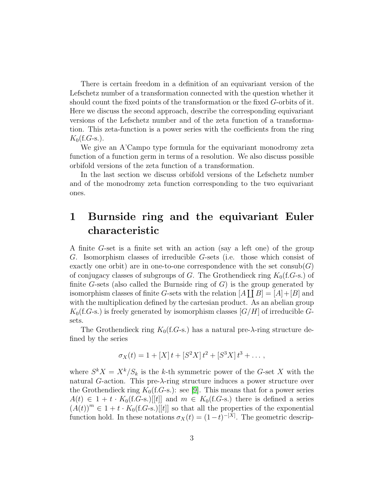There is certain freedom in a definition of an equivariant version of the Lefschetz number of a transformation connected with the question whether it should count the fixed points of the transformation or the fixed G-orbits of it. Here we discuss the second approach, describe the corresponding equivariant versions of the Lefschetz number and of the zeta function of a transformation. This zeta-function is a power series with the coefficients from the ring  $K_0$ (f.G-s.).

We give an A'Campo type formula for the equivariant monodromy zeta function of a function germ in terms of a resolution. We also discuss possible orbifold versions of the zeta function of a transformation.

In the last section we discuss orbifold versions of the Lefschetz number and of the monodromy zeta function corresponding to the two equivariant ones.

## <span id="page-2-0"></span>1 Burnside ring and the equivariant Euler characteristic

A finite G-set is a finite set with an action (say a left one) of the group G. Isomorphism classes of irreducible G-sets (i.e. those which consist of exactly one orbit) are in one-to-one correspondence with the set  $\text{consub}(G)$ of conjugacy classes of subgroups of G. The Grothendieck ring  $K_0(f,G-s.)$  of finite G-sets (also called the Burnside ring of  $G$ ) is the group generated by isomorphism classes of finite G-sets with the relation  $[A \coprod B] = [A] + [B]$  and with the multiplication defined by the cartesian product. As an abelian group  $K_0$ (f.G-s.) is freely generated by isomorphism classes  $|G/H|$  of irreducible Gsets.

The Grothendieck ring  $K_0$ (f.G-s.) has a natural pre- $\lambda$ -ring structure defined by the series

$$
\sigma_X(t) = 1 + [X]t + [S^2X]t^2 + [S^3X]t^3 + \dots,
$$

where  $S^k X = X^k/S_k$  is the k-th symmetric power of the G-set X with the natural G-action. This pre- $\lambda$ -ring structure induces a power structure over the Grothendieck ring  $K_0(f,G-s.)$ : see [\[9\]](#page-14-7). This means that for a power series  $A(t) \in 1 + t \cdot K_0(\text{f}.G\text{-s.})[[t]]$  and  $m \in K_0(\text{f}.G\text{-s.})$  there is defined a series  $(A(t))^m \in 1 + t \cdot K_0(\text{f}.G\text{-s.})[[t]]$  so that all the properties of the exponential function hold. In these notations  $\sigma_X(t) = (1-t)^{-[X]}$ . The geometric descrip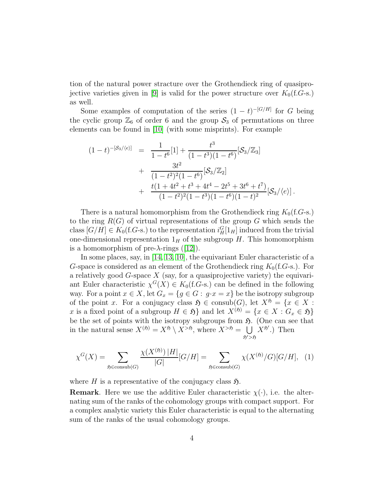tion of the natural power stracture over the Grothendieck ring of quasipro-jective varieties given in [\[9\]](#page-14-7) is valid for the power structure over  $K_0(f,G\text{-s.})$ as well.

Some examples of computation of the series  $(1-t)^{-[G/H]}$  for G being the cyclic group  $\mathbb{Z}_6$  of order 6 and the group  $S_3$  of permutations on three elements can be found in [\[10\]](#page-14-5) (with some misprints). For example

$$
(1-t)^{-[S_3/\langle e \rangle]} = \frac{1}{1-t^6}[1] + \frac{t^3}{(1-t^3)(1-t^6)}[\mathcal{S}_3/\mathbb{Z}_3] + \frac{3t^2}{(1-t^2)^2(1-t^6)}[\mathcal{S}_3/\mathbb{Z}_2] + \frac{t(1+4t^2+t^3+4t^4-2t^5+3t^6+t^7)}{(1-t^2)^2(1-t^3)(1-t^6)(1-t)^2}[\mathcal{S}_3/\langle e \rangle].
$$

There is a natural homomorphism from the Grothendieck ring  $K_0(f,G-s.)$ to the ring  $R(G)$  of virtual representations of the group G which sends the class  $[G/H] \in K_0(\text{f}.G\text{-s.})$  to the representation  $i_H^G[1_H]$  induced from the trivial one-dimensional representation  $1_H$  of the subgroup H. This homomorphism is a homomorphism of pre- $\lambda$ -rings ([\[12\]](#page-14-8)).

In some places, say, in [\[14,](#page-14-1) [13,](#page-14-6) [10\]](#page-14-5), the equivariant Euler characteristic of a G-space is considered as an element of the Grothendieck ring  $K_0(f,G-s.)$ . For a relatively good  $G$ -space  $X$  (say, for a quasiprojective variety) the equivariant Euler characteristic  $\chi^G(X) \in K_0(\text{f}.G\text{-s.})$  can be defined in the following way. For a point  $x \in X$ , let  $G_x = \{g \in G : g \cdot x = x\}$  be the isotropy subgroup of the point x. For a conjugacy class  $\mathfrak{H} \in \text{const}(G)$ , let  $X^{\mathfrak{H}} = \{x \in X :$ x is a fixed point of a subgroup  $H \in \mathfrak{H}$  and let  $X^{(\mathfrak{H})} = \{x \in X : G_x \in \mathfrak{H}\}\$ be the set of points with the isotropy subgroups from  $\mathfrak{H}$ . (One can see that in the natural sense  $X^{(5)} = X^5 \setminus X^{>5}$ , where  $X^{>5} = \bigcup X^{5'}$ . Then  $5^{\prime}$  $>$  $5$ 

<span id="page-3-0"></span>
$$
\chi^G(X) = \sum_{\mathfrak{H} \in \text{consub}(G)} \frac{\chi(X^{(\mathfrak{H})}) \, |H|}{|G|} [G/H] = \sum_{\mathfrak{H} \in \text{consub}(G)} \chi(X^{(\mathfrak{H})}/G) [G/H], \tag{1}
$$

where H is a representative of the conjugacy class  $\mathfrak{H}$ .

**Remark**. Here we use the additive Euler characteristic  $\chi(\cdot)$ , i.e. the alternating sum of the ranks of the cohomology groups with compact support. For a complex analytic variety this Euler characteristic is equal to the alternating sum of the ranks of the usual cohomology groups.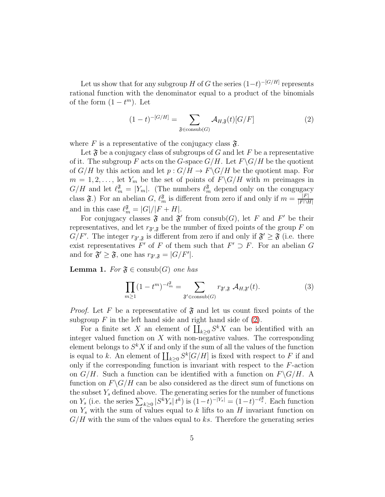Let us show that for any subgroup H of G the series  $(1-t)^{-[G/H]}$  represents rational function with the denominator equal to a product of the binomials of the form  $(1 - t^m)$ . Let

<span id="page-4-0"></span>
$$
(1-t)^{-[G/H]} = \sum_{\mathfrak{F}\in\mathrm{consub}(G)} \mathcal{A}_{H,\mathfrak{F}}(t)[G/F] \tag{2}
$$

where F is a representative of the conjugacy class  $\mathfrak{F}$ .

Let  $\mathfrak F$  be a conjugacy class of subgroups of G and let F be a representative of it. The subgroup F acts on the G-space  $G/H$ . Let  $F\backslash G/H$  be the quotient of  $G/H$  by this action and let  $p: G/H \to F\backslash G/H$  be the quotient map. For  $m = 1, 2, \ldots$ , let  $Y_m$  be the set of points of  $F\backslash G/H$  with m preimages in  $G/H$  and let  $\ell_m^{\mathfrak{F}} = |Y_m|$ . (The numbers  $\ell_m^{\mathfrak{F}}$  depend only on the congugacy class  $\mathfrak{F}$ .) For an abelian G,  $\ell_m^{\mathfrak{F}}$  is different from zero if and only if  $m = \frac{|F|}{|F \cap R}$  $|F \cap H|$ and in this case  $\ell_m^{\mathfrak{F}} = |G|/|F+H|$ .

For conjugacy classes  $\mathfrak{F}$  and  $\mathfrak{F}'$  from consub(G), let F and F' be their representatives, and let  $r_{\mathfrak{F}',\mathfrak{F}}$  be the number of fixed points of the group F on  $G/F'$ . The integer  $r_{\mathfrak{F}',\mathfrak{F}}$  is different from zero if and only if  $\mathfrak{F}' \geq \mathfrak{F}$  (i.e. there exist representatives  $F'$  of  $F$  of them such that  $F' \supset F$ . For an abelian  $G$ and for  $\mathfrak{F}' \geq \mathfrak{F}$ , one has  $r_{\mathfrak{F}',\mathfrak{F}} = |G/F'|$ .

**Lemma 1.** For  $\mathfrak{F} \in \text{consub}(G)$  one has

<span id="page-4-1"></span>
$$
\prod_{m\geq 1} (1-t^m)^{-\ell_m^{\mathfrak{F}}} = \sum_{\mathfrak{F}'\in\mathrm{consub}(G)} r_{\mathfrak{F}',\mathfrak{F}} \mathcal{A}_{H,\mathfrak{F}'}(t). \tag{3}
$$

*Proof.* Let F be a representative of  $\mathfrak F$  and let us count fixed points of the subgroup  $F$  in the left hand side and right hand side of  $(2)$ .

For a finite set X an element of  $\coprod_{k\geq 0} S^k X$  can be identified with an integer valued function on  $X$  with non-negative values. The corresponding element belongs to  $S^{k}X$  if and only if the sum of all the values of the function is equal to k. An element of  $\coprod_{k\geq 0} S^k[G/H]$  is fixed with respect to F if and only if the corresponding function is invariant with respect to the  $F$ -action on  $G/H$ . Such a function can be identified with a function on  $F\backslash G/H$ . A function on  $F\backslash G/H$  can be also considered as the direct sum of functions on the subset  $Y_s$  defined above. The generating series for the number of functions on  $Y_s$  (i.e. the series  $\sum_{k\geq 0} |S^k Y_s| t^k$ ) is  $(1-t)^{-|Y_s|} = (1-t)^{-\ell_s^{\mathfrak{F}}}$ . Each function on  $Y_s$  with the sum of values equal to k lifts to an H invariant function on  $G/H$  with the sum of the values equal to ks. Therefore the generating series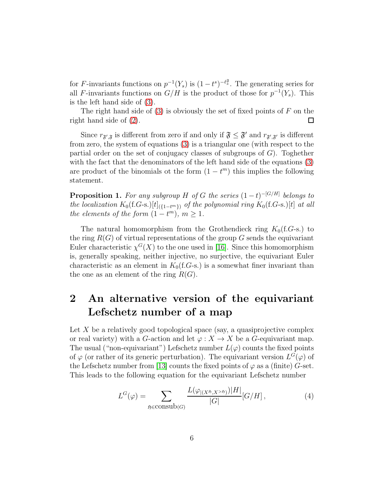for F-invariants functions on  $p^{-1}(Y_s)$  is  $(1-t^s)^{-\ell_s^{\mathfrak{F}}}$ . The generating series for all F-invariants functions on  $G/H$  is the product of those for  $p^{-1}(Y_s)$ . This is the left hand side of [\(3\)](#page-4-1).

The right hand side of  $(3)$  is obviously the set of fixed points of F on the right hand side of [\(2\)](#page-4-0).  $\Box$ 

Since  $r_{\mathfrak{F}',\mathfrak{F}}$  is different from zero if and only if  $\mathfrak{F} \leq \mathfrak{F}'$  and  $r_{\mathfrak{F}',\mathfrak{F}'}$  is different from zero, the system of equations [\(3\)](#page-4-1) is a triangular one (with respect to the partial order on the set of conjugacy classes of subgroups of  $G$ ). Toghether with the fact that the denominators of the left hand side of the equations  $(3)$ are product of the binomials ot the form  $(1 - t<sup>m</sup>)$  this implies the following statement.

<span id="page-5-2"></span>**Proposition 1.** For any subgroup H of G the series  $(1-t)^{-[G/H]}$  belongs to the localization  $K_0(f.G-S.)[t]_{(f1-t^m)}$  of the polynomial ring  $K_0(f.G-S.)[t]$  at all the elements of the form  $(1-t^m)$ ,  $m \geq 1$ .

The natural homomorphism from the Grothendieck ring  $K_0(f,G-s)$  to the ring  $R(G)$  of virtual representations of the group G sends the equivariant Euler characteristic  $\chi^G(X)$  to the one used in [\[16\]](#page-14-2). Since this homomorphism is, generally speaking, neither injective, no surjective, the equivariant Euler characteristic as an element in  $K_0(f,G-s)$  is a somewhat finer invariant than the one as an element of the ring  $R(G)$ .

## <span id="page-5-1"></span>2 An alternative version of the equivariant Lefschetz number of a map

Let  $X$  be a relatively good topological space (say, a quasiprojective complex or real variety) with a G-action and let  $\varphi: X \to X$  be a G-equivariant map. The usual ("non-equivariant") Lefschetz number  $L(\varphi)$  counts the fixed points of  $\varphi$  (or rather of its generic perturbation). The equivariant version  $L^G(\varphi)$  of the Lefschetz number from [\[13\]](#page-14-6) counts the fixed points of  $\varphi$  as a (finite) G-set. This leads to the following equation for the equivariant Lefschetz number

<span id="page-5-0"></span>
$$
L^{G}(\varphi) = \sum_{\mathfrak{H} \in \text{consub}(G)} \frac{L(\varphi_{|(X^{\mathfrak{H}}, X^{> \mathfrak{H}})})|H|}{|G|} [G/H], \tag{4}
$$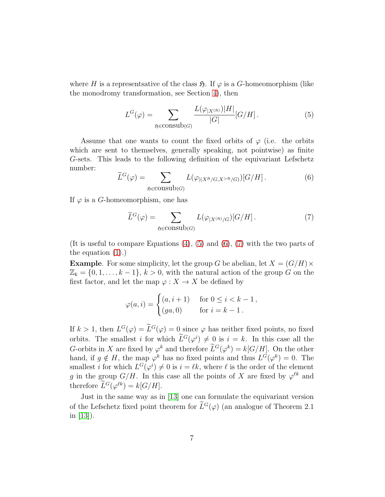where H is a represent sative of the class  $\mathfrak{H}$ . If  $\varphi$  is a G-homeomorphism (like the monodromy transformation, see Section [4\)](#page-9-0), then

<span id="page-6-0"></span>
$$
L^{G}(\varphi) = \sum_{\mathfrak{H} \in \text{consub}(G)} \frac{L(\varphi_{|X^{(\mathfrak{H})}})|H|}{|G|} [G/H]. \tag{5}
$$

Assume that one wants to count the fixed orbits of  $\varphi$  (i.e. the orbits which are sent to themselves, generally speaking, not pointwise) as finite G-sets. This leads to the following definition of the equivariant Lefschetz number:

<span id="page-6-1"></span>
$$
\widetilde{L}^G(\varphi) = \sum_{\mathfrak{H} \in \text{consub}(G)} L(\varphi_{|(X^{\mathfrak{H}}/G, X^{>\mathfrak{H}}/G)})[G/H]. \tag{6}
$$

If  $\varphi$  is a G-homeomorphism, one has

<span id="page-6-2"></span>
$$
\widetilde{L}^G(\varphi) = \sum_{\mathfrak{H} \in \text{consub}(G)} L(\varphi_{|X^{(\mathfrak{H})}/G})[G/H]. \tag{7}
$$

(It is useful to compare Equations  $(4)$ ,  $(5)$  and  $(6)$ ,  $(7)$  with the two parts of the equation [\(1\)](#page-3-0).)

**Example.** For some simplicity, let the group G be abelian, let  $X = (G/H) \times$  $\mathbb{Z}_k = \{0, 1, \ldots, k-1\}, k > 0$ , with the natural action of the group G on the first factor, and let the map  $\varphi: X \to X$  be defined by

$$
\varphi(a,i) = \begin{cases} (a, i+1) & \text{for } 0 \le i < k-1, \\ (ga, 0) & \text{for } i = k-1. \end{cases}
$$

If  $k > 1$ , then  $L^G(\varphi) = L^G(\varphi) = 0$  since  $\varphi$  has neither fixed points, no fixed orbits. The smallest i for which  $\tilde{L}^G(\varphi^i) \neq 0$  is  $i = k$ . In this case all the G-orbits in X are fixed by  $\varphi^k$  and therefore  $L^G(\varphi^k) = k[G/H]$ . On the other hand, if  $g \notin H$ , the map  $\varphi^k$  has no fixed points and thus  $L^G(\varphi^k) = 0$ . The smallest *i* for which  $L^G(\varphi^i) \neq 0$  is  $i = \ell k$ , where  $\ell$  is the order of the element g in the group  $G/H$ . In this case all the points of X are fixed by  $\varphi^{\ell k}$  and therefore  $L^G(\varphi^{\ell k}) = k[G/H].$ 

Just in the same way as in [\[13\]](#page-14-6) one can formulate the equivariant version of the Lefschetz fixed point theorem for  $\tilde{L}^G(\varphi)$  (an analogue of Theorem 2.1) in [\[13\]](#page-14-6)).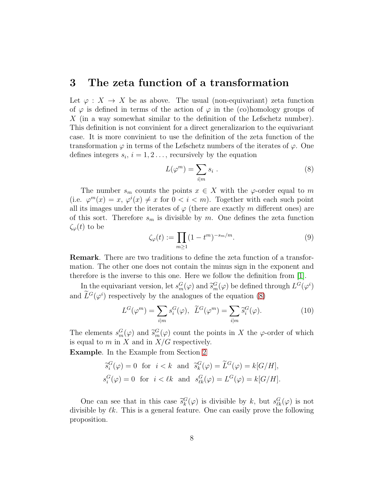### 3 The zeta function of a transformation

Let  $\varphi: X \to X$  be as above. The usual (non-equivariant) zeta function of  $\varphi$  is defined in terms of the action of  $\varphi$  in the (co)homology groups of X (in a way somewhat similar to the definition of the Lefschetz number). This definition is not convinient for a direct generalizarion to the equivariant case. It is more convinient to use the definition of the zeta function of the transformation  $\varphi$  in terms of the Lefschetz numbers of the iterates of  $\varphi$ . One defines integers  $s_i$ ,  $i = 1, 2, \ldots$ , recursively by the equation

<span id="page-7-0"></span>
$$
L(\varphi^m) = \sum_{i|m} s_i . \tag{8}
$$

The number  $s_m$  counts the points  $x \in X$  with the  $\varphi$ -order equal to m (i.e.  $\varphi^m(x) = x$ ,  $\varphi^i(x) \neq x$  for  $0 < i < m$ ). Together with each such point all its images under the iterates of  $\varphi$  (there are exactly m different ones) are of this sort. Therefore  $s_m$  is divisible by m. One defines the zeta function  $\zeta_{\varphi}(t)$  to be

<span id="page-7-1"></span>
$$
\zeta_{\varphi}(t) := \prod_{m \ge 1} (1 - t^m)^{-s_m/m}.
$$
 (9)

Remark. There are two traditions to define the zeta function of a transformation. The other one does not contain the minus sign in the exponent and therefore is the inverse to this one. Here we follow the definition from [\[1\]](#page-13-2).

In the equivariant version, let  $s_m^G(\varphi)$  and  $\tilde{s}_m^G(\varphi)$  be defined through  $L^G(\varphi^i)$ and  $\hat{L}^G(\varphi^i)$  respectively by the analogues of the equation [\(8\)](#page-7-0)

<span id="page-7-2"></span>
$$
L^G(\varphi^m) = \sum_{i|m} s_i^G(\varphi), \ \ \widetilde{L}^G(\varphi^m) = \sum_{i|m} \widetilde{s}_i^G(\varphi). \tag{10}
$$

The elements  $s_m^G(\varphi)$  and  $\tilde{s}_m^G(\varphi)$  count the points in X the  $\varphi$ -order of which is equal to m in X and in  $X/G$  respectively.

Example. In the Example from Section [2](#page-5-1)

$$
\begin{aligned}\n\widetilde{s}_i^G(\varphi) &= 0 \quad \text{for} \quad i < k \quad \text{and} \quad \widetilde{s}_k^G(\varphi) = \widetilde{L}^G(\varphi) = k[G/H], \\
s_i^G(\varphi) &= 0 \quad \text{for} \quad i < \ell k \quad \text{and} \quad s_{\ell k}^G(\varphi) = L^G(\varphi) = k[G/H].\n\end{aligned}
$$

One can see that in this case  $\tilde{s}_k^G(\varphi)$  is divisible by k, but  $s_{\ell k}^G(\varphi)$  is not divisible by  $\ell k$ . This is a general feature. One can easily prove the following proposition.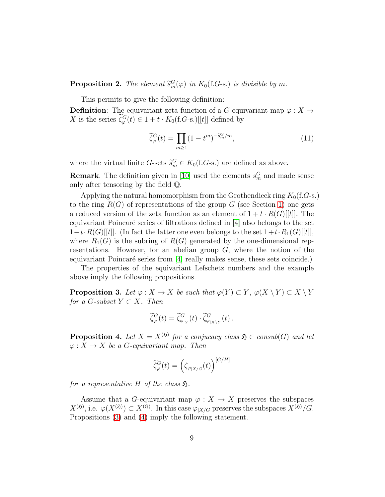**Proposition 2.** The element  $\tilde{s}_m^G(\varphi)$  in  $K_0$ (f.G-s.) is divisible by m.

This permits to give the following definition:

**Definition:** The equivariant zeta function of a G-equivariant map  $\varphi: X \to$ X is the series  $\tilde{\zeta}_{\varphi}^G(t) \in 1 + t \cdot K_0(f.G-s.)[[t]]$  defined by

<span id="page-8-2"></span>
$$
\widetilde{\zeta}_{\varphi}^G(t) = \prod_{m \ge 1} (1 - t^m)^{-\widetilde{s}_m^G/m},\tag{11}
$$

where the virtual finite G-sets  $\widetilde{s}_m^G \in K_0(f.G-s.)$  are defined as above.

**Remark**. The definition given in [\[10\]](#page-14-5) used the elements  $s_m^G$  and made sense only after tensoring by the field Q.

Applying the natural homomorphism from the Grothendieck ring  $K_0(f,G-s.)$ to the ring  $R(G)$  of representations of the group G (see Section [1\)](#page-2-0) one gets a reduced version of the zeta function as an element of  $1 + t \cdot R(G)[[t]]$ . The equivariant Poincaré series of filtrations defined in  $[4]$  also belongs to the set  $1+t\cdot R(G)[[t]]$ . (In fact the latter one even belongs to the set  $1+t\cdot R_1(G)[[t]]$ , where  $R_1(G)$  is the subring of  $R(G)$  generated by the one-dimensional representations. However, for an abelian group  $G$ , where the notion of the equivariant Poincaré series from  $\vert 4 \vert$  really makes sense, these sets coincide.)

The properties of the equivariant Lefschetz numbers and the example above imply the following propositions.

<span id="page-8-0"></span>**Proposition 3.** Let  $\varphi: X \to X$  be such that  $\varphi(Y) \subset Y$ ,  $\varphi(X \setminus Y) \subset X \setminus Y$ for a G-subset  $Y \subset X$ . Then

$$
\widetilde{\zeta}_{\varphi}^G(t) = \widetilde{\zeta}_{\varphi|Y}^G(t) \cdot \widetilde{\zeta}_{\varphi|X \setminus Y}^G(t).
$$

<span id="page-8-1"></span>**Proposition 4.** Let  $X = X^{(5)}$  for a conjucacy class  $\mathfrak{H} \in \mathit{consub}(G)$  and let  $\varphi: X \to X$  be a G-equivariant map. Then

$$
\widetilde{\zeta}_{\varphi}^{G}(t) = \left(\zeta_{\varphi|X/G}(t)\right)^{[G/H]}
$$

for a representative H of the class  $\mathfrak{H}$ .

Assume that a G-equivariant map  $\varphi: X \to X$  preserves the subspaces  $X^{(5)}$ , i.e.  $\varphi(X^{(5)}) \subset X^{(5)}$ . In this case  $\varphi_{|X/G}$  preserves the subspaces  $X^{(5)}/G$ . Propositions [\(3\)](#page-8-0) and [\(4\)](#page-8-1) imply the following statement.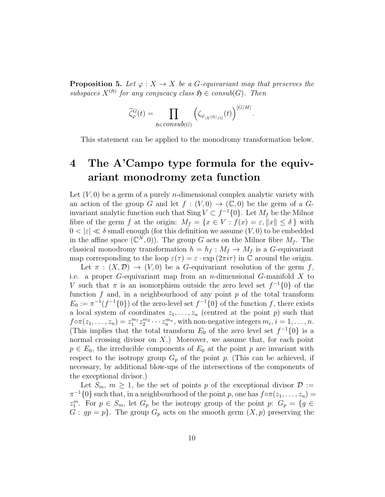**Proposition 5.** Let  $\varphi: X \to X$  be a G-equivariant map that preserves the subspaces  $X^{(5)}$  for any conjucacy class  $5 \in \text{consub}(G)$ . Then

$$
\widetilde{\zeta}_{\varphi}^G(t) = \prod_{\mathfrak{H} \in \mathcal{C} on sub(G)} \left( \zeta_{\varphi_{|X^{(\mathfrak{H})}/G}}(t) \right)^{[G/H]}.
$$

This statement can be applied to the monodromy transformation below.

## <span id="page-9-0"></span>4 The A'Campo type formula for the equivariant monodromy zeta function

Let  $(V, 0)$  be a germ of a purely *n*-dimensional complex analytic variety with an action of the group G and let  $f : (V, 0) \to (\mathbb{C}, 0)$  be the germ of a Ginvariant analytic function such that  $\text{Sing } V \subset f^{-1}\{0\}$ . Let  $M_f$  be the Milnor fibre of the germ f at the origin:  $M_f = \{x \in V : f(x) = \varepsilon, ||x|| \leq \delta\}$  with  $0 < |\varepsilon| \ll \delta$  small enough (for this definition we assume  $(V, 0)$  to be embedded in the affine space  $(\mathbb{C}^N,0)$ . The group G acts on the Milnor fibre  $M_f$ . The classical monodromy transformation  $h = h_f : M_f \to M_f$  is a G-equivariant map corresponding to the loop  $\varepsilon(\tau) = \varepsilon \cdot \exp(2\pi i \tau)$  in C around the origin.

Let  $\pi : (X, \mathcal{D}) \to (V, 0)$  be a G-equivariant resolution of the germ f, i.e. a proper  $G$ -equivariant map from an *n*-dimensional  $G$ -manifold  $X$  to V such that  $\pi$  is an isomorphism outside the zero level set  $f^{-1}\{0\}$  of the function  $f$  and, in a neighbourhood of any point  $p$  of the total transform  $E_0 := \pi^{-1}(f^{-1}\{0\})$  of the zero-level set  $f^{-1}\{0\}$  of the function f, there exists a local system of coordinates  $z_1, \ldots, z_n$  (centred at the point p) such that  $f \circ \pi(z_1, \ldots, z_n) = z_1^{m_1} z_2^{m_2} \cdots z_n^{m_n}$ , with non-negative integers  $m_i$ ,  $i = 1, \ldots, n$ . (This implies that the total transform  $E_0$  of the zero level set  $f^{-1}{0}$  is a normal crossing divisor on  $X$ .) Moreover, we assume that, for each point  $p \in E_0$ , the irreducible components of  $E_0$  at the point p are invariant with respect to the isotropy group  $G_p$  of the point p. (This can be achieved, if necessary, by additional blow-ups of the intersections of the components of the exceptional divisor.)

Let  $S_m$ ,  $m \geq 1$ , be the set of points p of the exceptional divisor  $\mathcal{D}$  :=  $\pi^{-1}{0}$  such that, in a neighbourhood of the point p, one has  $f \circ \pi(z_1, \ldots, z_n) =$  $z_1^m$ . For  $p \in S_m$ , let  $G_p$  be the isotropy group of the point  $p: G_p = \{g \in S_m\}$  $G: gp = p$ . The group  $G_p$  acts on the smooth germ  $(X, p)$  preserving the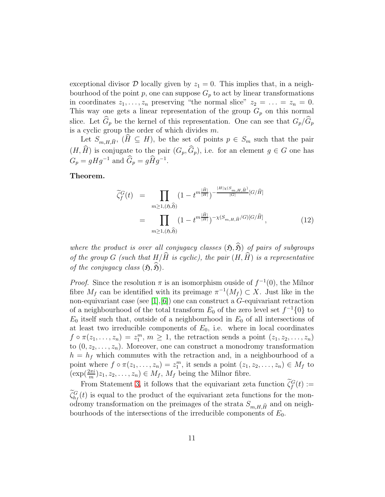exceptional divisor  $\mathcal D$  locally given by  $z_1 = 0$ . This implies that, in a neighbourhood of the point  $p$ , one can suppose  $G_p$  to act by linear transformations in coordinates  $z_1, \ldots, z_n$  preserving "the normal slice"  $z_2 = \ldots = z_n = 0$ . This way one gets a linear representation of the group  $G_p$  on this normal slice. Let  $G_p$  be the kernel of this representation. One can see that  $G_p/G_p$ is a cyclic group the order of which divides  $m$ .

Let  $S_{m,H,\widehat{H}}$ ,  $(\widehat{H} \subseteq H)$ , be the set of points  $p \in S_m$  such that the pair  $(H, \widehat{H})$  is conjugate to the pair  $(G_p, \widehat{G}_p)$ , i.e. for an element  $g \in G$  one has  $G_p = gHg^{-1}$  and  $\hat{G}_p = g\hat{H}g^{-1}$ .

Theorem.

<span id="page-10-0"></span>
$$
\widetilde{\zeta}_f^G(t) = \prod_{m \ge 1, (\mathfrak{H}, \mathfrak{H})} (1 - t^{m \frac{|\widehat{H}|}{|H|}})^{-\frac{|H| \chi(S_{m,H,\widehat{H}})}{|G|} [G/\widehat{H}]} \n= \prod_{m \ge 1, (\mathfrak{H}, \mathfrak{H})} (1 - t^{m \frac{|\widehat{H}|}{|H|}})^{-\chi(S_{m,H,\widehat{H}}/G)[G/\widehat{H}]},
$$
\n(12)

where the product is over all conjugacy classes  $(\mathfrak{H}, \widehat{\mathfrak{H}})$  of pairs of subgroups of the group G (such that  $H/\widehat{H}$  is cyclic), the pair  $(H, \widehat{H})$  is a representative of the conjugacy class  $(\mathfrak{H}, \mathfrak{H})$ .

*Proof.* Since the resolution  $\pi$  is an isomorphism ouside of  $f^{-1}(0)$ , the Milnor fibre  $M_f$  can be identified with its preimage  $\pi^{-1}(M_f) \subset X$ . Just like in the non-equivariant case (see  $[1],[6]$  $[1],[6]$ ) one can construct a G-equivariant retraction of a neighbourhood of the total transform  $E_0$  of the zero level set  $f^{-1}\{0\}$  to  $E_0$  itself such that, outside of a neighbourhood in  $E_0$  of all intersections of at least two irreducible components of  $E_0$ , i.e. where in local coordinates  $f \circ \pi(z_1,\ldots,z_n) = z_1^m, m \ge 1$ , the retraction sends a point  $(z_1, z_2, \ldots, z_n)$ to  $(0, z_2, \ldots, z_n)$ . Moreover, one can construct a monodromy transformation  $h = h_f$  which commutes with the retraction and, in a neighbourhood of a point where  $f \circ \pi(z_1, \ldots, z_n) = z_1^m$ , it sends a point  $(z_1, z_2, \ldots, z_n) \in M_f$  to  $(\exp(\frac{2\pi i}{m})z_1, z_2, \ldots, z_n) \in M_f$ ,  $M_f$  being the Milnor fibre.

From Statement [3,](#page-8-0) it follows that the equivariant zeta function  $\zeta_f^G(t) :=$  $\zeta_{h_f}^G(t)$  is equal to the product of the equivariant zeta functions for the monodromy transformation on the preimages of the strata  $S_{m,H,\widehat{H}}$  and on neighbourhoods of the intersections of the irreducible components of  $E_0$ .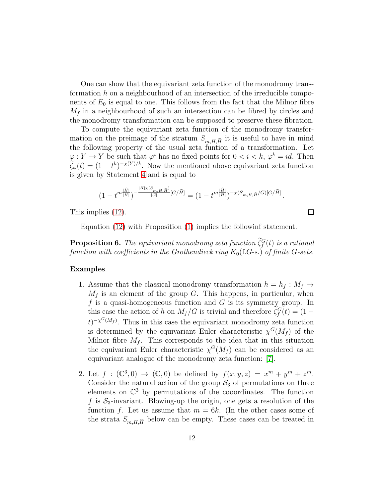One can show that the equivariant zeta function of the monodromy transformation  $h$  on a neighbourhood of an intersection of the irreducible components of  $E_0$  is equal to one. This follows from the fact that the Milnor fibre  $M_f$  in a neighbourhood of such an intersection can be fibred by circles and the monodromy transformation can be supposed to preserve these fibration.

To compute the equivariant zeta function of the monodromy transformation on the preimage of the stratum  $S_{m,H,\widehat{H}}$  it is useful to have in mind the following property of the usual zeta funtion of a transformation. Let  $\varphi: Y \to Y$  be such that  $\varphi^i$  has no fixed points for  $0 < i < k$ ,  $\varphi^k = id$ . Then  $\hat{\zeta}_{\varphi}(t) = (1 - t^k)^{-\chi(Y)/k}$ . Now the mentioned above equivariant zeta function is given by Statement [4](#page-8-1) and is equal to

$$
(1-t^{m\frac{|\widehat{H}|}{|H|}})^{-\frac{|H|\chi(S_{m,H,\widehat{H}})}{|G|}[G/\widehat{H}]}=(1-t^{m\frac{|\widehat{H}|}{|H|}})^{-\chi(S_{m,H,\widehat{H}}/G)[G/\widehat{H}]}.
$$

 $\Box$ 

This implies [\(12\)](#page-10-0).

Equation [\(12\)](#page-10-0) with Proposition [\(1\)](#page-5-2) implies the followinf statement.

**Proposition 6.** The equivariant monodromy zeta function  $\zeta_f^G(t)$  is a rational function with coefficients in the Grothendieck ring  $K_0(f,G-s.)$  of finite G-sets.

#### Examples.

- 1. Assume that the classical monodromy transformation  $h = h_f : M_f \to$  $M_f$  is an element of the group G. This happens, in particular, when f is a quasi-homogeneous function and  $G$  is its symmetry group. In this case the action of h on  $M_f/G$  is trivial and therefore  $\zeta_f^G(t) = (1 (t)^{-\chi^G(M_f)}$ . Thus in this case the equivariant monodromy zeta function is determined by the equivariant Euler characteristic  $\chi^G(M_f)$  of the Milnor fibre  $M_f$ . This corresponds to the idea that in this situation the equivariant Euler characteristic  $\chi^G(M_f)$  can be considered as an equivariant analogue of the monodromy zeta function: [\[7\]](#page-14-10).
- 2. Let  $f: (\mathbb{C}^3, 0) \to (\mathbb{C}, 0)$  be defined by  $f(x, y, z) = x^m + y^m + z^m$ . Consider the natural action of the group  $S_3$  of permutations on three elements on  $\mathbb{C}^3$  by permutations of the cooordinates. The function f is  $S_3$ -invariant. Blowing-up the origin, one gets a resolution of the function f. Let us assume that  $m = 6k$ . (In the other cases some of the strata  $S_{m,H,\widehat{H}}$  below can be empty. These cases can be treated in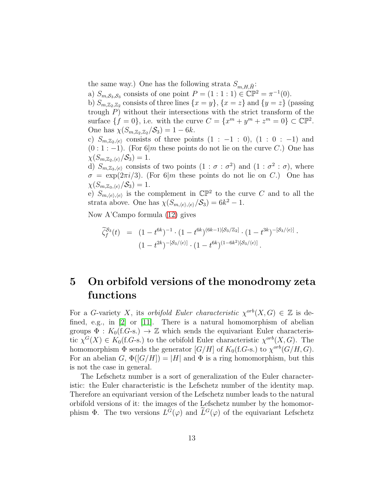the same way.) One has the following strata  $S_{m,H,\widehat{H}}$ :

a)  $S_{m,S_3,S_3}$  consists of one point  $P = (1 : 1 : 1) \in \mathbb{CP}^2 = \pi^{-1}(0)$ .

b)  $S_{m,\mathbb{Z}_2,\mathbb{Z}_2}$  consists of three lines  $\{x=y\}, \{x=z\}$  and  $\{y=z\}$  (passing trough  $P$ ) without their intersections with the strict transform of the surface  $\{f=0\}$ , i.e. with the curve  $C = \{x^m + y^m + z^m = 0\} \subset \mathbb{CP}^2$ . One has  $\chi(S_{m,\mathbb{Z}_2,\mathbb{Z}_2}/\mathcal{S}_3) = 1 - 6k$ .

c)  $S_{m,\mathbb{Z}_2,\langle e \rangle}$  consists of three points  $(1:-1:0), (1:0:-1)$  and  $(0:1:-1)$ . (For 6|m these points do not lie on the curve C.) One has  $\chi(S_{m,\mathbb{Z}_2,\langle e \rangle}/\mathcal{S}_3) = 1.$ 

d)  $S_{m,\mathbb{Z}_3,\langle e\rangle}$  consists of two points  $(1:\sigma:\sigma^2)$  and  $(1:\sigma^2:\sigma)$ , where  $\sigma = \exp(2\pi i/3)$ . (For 6|m these points do not lie on C.) One has  $\chi(S_{m,\mathbb{Z}_3,\langle e \rangle}/\mathcal{S}_3) = 1.$ 

e)  $S_{m,\langle e\rangle,\langle e\rangle}$  is the complement in  $\mathbb{CP}^2$  to the curve C and to all the strata above. One has  $\chi(S_{m,(e),\langle e \rangle}/S_3) = 6k^2 - 1$ .

Now A'Campo formula [\(12\)](#page-10-0) gives

$$
\widetilde{\zeta}_f^{\mathcal{S}_3}(t) = (1 - t^{6k})^{-1} \cdot (1 - t^{6k})^{(6k-1)[\mathcal{S}_3/\mathbb{Z}_2]} \cdot (1 - t^{3k})^{-[\mathcal{S}_3/\langle e \rangle]} \cdot (1 - t^{2k})^{-[\mathcal{S}_3/\langle e \rangle]} \cdot (1 - t^{6k})^{(1 - 6k^2)[\mathcal{S}_3/\langle e \rangle]}.
$$

### 5 On orbifold versions of the monodromy zeta functions

For a G-variety X, its *orbifold Euler characteristic*  $\chi^{orb}(X, G) \in \mathbb{Z}$  is defined, e.g., in [\[2\]](#page-13-3) or [\[11\]](#page-14-11). There is a natural homomorphism of abelian groups  $\Phi: K_0(\text{f}.G\text{-s.}) \to \mathbb{Z}$  which sends the equivariant Euler characteristic  $\chi^G(X) \in K_0(\text{f}.G\text{-s})$  to the orbifold Euler characteristic  $\chi^{orb}(X, G)$ . The homomorphism  $\Phi$  sends the generator  $[G/H]$  of  $K_0$ (f.G-s.) to  $\chi^{orb}(G/H, G)$ . For an abelian G,  $\Phi([G/H]) = |H|$  and  $\Phi$  is a ring homomorphism, but this is not the case in general.

The Lefschetz number is a sort of generalization of the Euler characteristic: the Euler characteristic is the Lefschetz number of the identity map. Therefore an equivariant version of the Lefschetz number leads to the natural orbifold versions of it: the images of the Lefschetz number by the homomorphism  $\Phi$ . The two versions  $L^G(\varphi)$  and  $\tilde{L}^G(\varphi)$  of the equivariant Lefschetz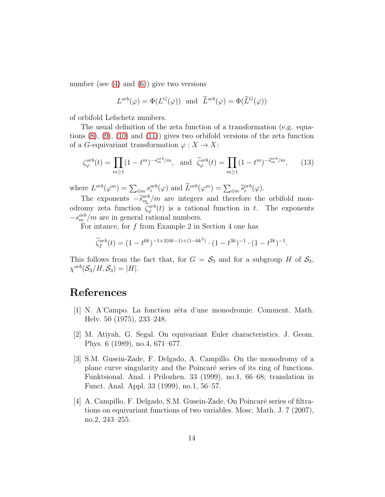number (see  $(4)$  and  $(6)$ ) give two versions

$$
L^{orb}(\varphi) = \Phi(L^G(\varphi)) \text{ and } \widetilde{L}^{orb}(\varphi) = \Phi(\widetilde{L}^G(\varphi))
$$

of orbifold Lefschetz numbers.

The usual definition of the zeta function of a transformation (e.g. equations  $(8)$ ,  $(9)$ ,  $(10)$  and  $(11)$ ) gives two orbifold versions of the zeta function of a *G*-equivariant transformation  $\varphi: X \to X$ :

$$
\zeta_{\varphi}^{\operatorname{orb}}(t) = \prod_{m \ge 1} (1 - t^m)^{-s_m^{\operatorname{orb}}/m}, \text{ and } \widetilde{\zeta}_{\varphi}^{\operatorname{orb}}(t) = \prod_{m \ge 1} (1 - t^m)^{-\widetilde{s}_m^{\operatorname{orb}}/m}, \qquad (13)
$$

where  $L^{orb}(\varphi^m) = \sum_{i|m} s_i^{orb}(\varphi)$  and  $\tilde{L}^{orb}(\varphi^m) = \sum_{i|m} \tilde{s}_i^{orb}(\varphi)$ .

The exponents  $-\frac{\widetilde{S}_{m}^{orb}}{m}$  are integers and therefore the orbifold monodromy zeta function  $\zeta_{\varphi}^{orb}(t)$  is a rational function in t. The exponents  $-s_m^{orb}/m$  are in general rational numbers.

For intance, for  $f$  from Example 2 in Section 4 one has

$$
\widetilde{\zeta}^{orb}_f(t) = (1 - t^{6k})^{-1 + 2(6k - 1) + (1 - 6k^2)} \cdot (1 - t^{3k})^{-1} \cdot (1 - t^{2k})^{-1}.
$$

This follows from the fact that, for  $G = S_3$  and for a subgroup H of  $S_3$ ,  $\chi^{orb}(\mathcal{S}_3/H, \mathcal{S}_3)=|H|.$ 

### <span id="page-13-2"></span>References

- [1] N. A'Campo. La fonction zˆeta d'une monodromie. Comment. Math. Helv. 50 (1975), 233–248.
- <span id="page-13-3"></span>[2] M. Atiyah, G. Segal. On equivariant Euler characteristics. J. Geom. Phys. 6 (1989), no.4, 671–677.
- <span id="page-13-0"></span>[3] S.M. Gusein-Zade, F. Delgado, A. Campillo. On the monodromy of a plane curve singularity and the Poincaré series of its ring of functions. Funktsional. Anal. i Prilozhen. 33 (1999), no.1, 66–68; translation in Funct. Anal. Appl. 33 (1999), no.1, 56–57.
- <span id="page-13-1"></span>[4] A. Campillo, F. Delgado, S.M. Gusein-Zade. On Poincaré series of filtrations on equivariant functions of two variables. Mosc. Math. J. 7 (2007), no.2, 243–255.